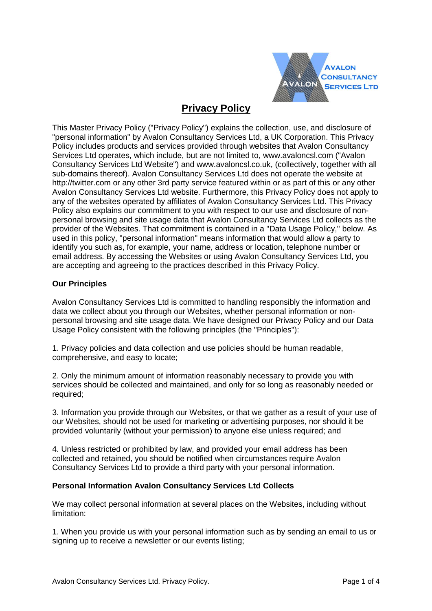

# **Privacy Policy**

This Master Privacy Policy ("Privacy Policy") explains the collection, use, and disclosure of "personal information" by Avalon Consultancy Services Ltd, a UK Corporation. This Privacy Policy includes products and services provided through websites that Avalon Consultancy Services Ltd operates, which include, but are not limited to, www.avaloncsl.com ("Avalon Consultancy Services Ltd Website") and www.avaloncsl.co.uk, (collectively, together with all sub-domains thereof). Avalon Consultancy Services Ltd does not operate the website at http://twitter.com or any other 3rd party service featured within or as part of this or any other Avalon Consultancy Services Ltd website. Furthermore, this Privacy Policy does not apply to any of the websites operated by affiliates of Avalon Consultancy Services Ltd. This Privacy Policy also explains our commitment to you with respect to our use and disclosure of nonpersonal browsing and site usage data that Avalon Consultancy Services Ltd collects as the provider of the Websites. That commitment is contained in a "Data Usage Policy," below. As used in this policy, "personal information" means information that would allow a party to identify you such as, for example, your name, address or location, telephone number or email address. By accessing the Websites or using Avalon Consultancy Services Ltd, you are accepting and agreeing to the practices described in this Privacy Policy.

# **Our Principles**

Avalon Consultancy Services Ltd is committed to handling responsibly the information and data we collect about you through our Websites, whether personal information or nonpersonal browsing and site usage data. We have designed our Privacy Policy and our Data Usage Policy consistent with the following principles (the "Principles"):

1. Privacy policies and data collection and use policies should be human readable, comprehensive, and easy to locate;

2. Only the minimum amount of information reasonably necessary to provide you with services should be collected and maintained, and only for so long as reasonably needed or required;

3. Information you provide through our Websites, or that we gather as a result of your use of our Websites, should not be used for marketing or advertising purposes, nor should it be provided voluntarily (without your permission) to anyone else unless required; and

4. Unless restricted or prohibited by law, and provided your email address has been collected and retained, you should be notified when circumstances require Avalon Consultancy Services Ltd to provide a third party with your personal information.

# **Personal Information Avalon Consultancy Services Ltd Collects**

We may collect personal information at several places on the Websites, including without limitation:

1. When you provide us with your personal information such as by sending an email to us or signing up to receive a newsletter or our events listing;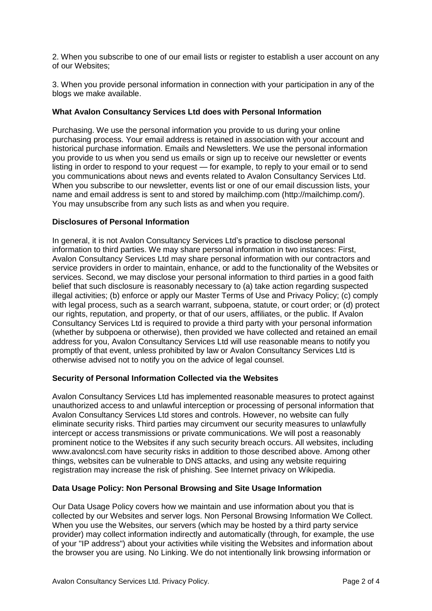2. When you subscribe to one of our email lists or register to establish a user account on any of our Websites;

3. When you provide personal information in connection with your participation in any of the blogs we make available.

## **What Avalon Consultancy Services Ltd does with Personal Information**

Purchasing. We use the personal information you provide to us during your online purchasing process. Your email address is retained in association with your account and historical purchase information. Emails and Newsletters. We use the personal information you provide to us when you send us emails or sign up to receive our newsletter or events listing in order to respond to your request — for example, to reply to your email or to send you communications about news and events related to Avalon Consultancy Services Ltd. When you subscribe to our newsletter, events list or one of our email discussion lists, your name and email address is sent to and stored by mailchimp.com (http://mailchimp.com/). You may unsubscribe from any such lists as and when you require.

## **Disclosures of Personal Information**

In general, it is not Avalon Consultancy Services Ltd's practice to disclose personal information to third parties. We may share personal information in two instances: First, Avalon Consultancy Services Ltd may share personal information with our contractors and service providers in order to maintain, enhance, or add to the functionality of the Websites or services. Second, we may disclose your personal information to third parties in a good faith belief that such disclosure is reasonably necessary to (a) take action regarding suspected illegal activities; (b) enforce or apply our Master Terms of Use and Privacy Policy; (c) comply with legal process, such as a search warrant, subpoena, statute, or court order; or (d) protect our rights, reputation, and property, or that of our users, affiliates, or the public. If Avalon Consultancy Services Ltd is required to provide a third party with your personal information (whether by subpoena or otherwise), then provided we have collected and retained an email address for you, Avalon Consultancy Services Ltd will use reasonable means to notify you promptly of that event, unless prohibited by law or Avalon Consultancy Services Ltd is otherwise advised not to notify you on the advice of legal counsel.

# **Security of Personal Information Collected via the Websites**

Avalon Consultancy Services Ltd has implemented reasonable measures to protect against unauthorized access to and unlawful interception or processing of personal information that Avalon Consultancy Services Ltd stores and controls. However, no website can fully eliminate security risks. Third parties may circumvent our security measures to unlawfully intercept or access transmissions or private communications. We will post a reasonably prominent notice to the Websites if any such security breach occurs. All websites, including www.avaloncsl.com have security risks in addition to those described above. Among other things, websites can be vulnerable to DNS attacks, and using any website requiring registration may increase the risk of phishing. See Internet privacy on Wikipedia.

#### **Data Usage Policy: Non Personal Browsing and Site Usage Information**

Our Data Usage Policy covers how we maintain and use information about you that is collected by our Websites and server logs. Non Personal Browsing Information We Collect. When you use the Websites, our servers (which may be hosted by a third party service provider) may collect information indirectly and automatically (through, for example, the use of your "IP address") about your activities while visiting the Websites and information about the browser you are using. No Linking. We do not intentionally link browsing information or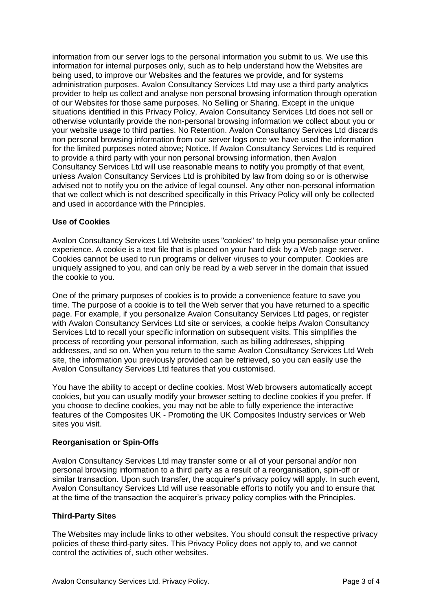information from our server logs to the personal information you submit to us. We use this information for internal purposes only, such as to help understand how the Websites are being used, to improve our Websites and the features we provide, and for systems administration purposes. Avalon Consultancy Services Ltd may use a third party analytics provider to help us collect and analyse non personal browsing information through operation of our Websites for those same purposes. No Selling or Sharing. Except in the unique situations identified in this Privacy Policy, Avalon Consultancy Services Ltd does not sell or otherwise voluntarily provide the non-personal browsing information we collect about you or your website usage to third parties. No Retention. Avalon Consultancy Services Ltd discards non personal browsing information from our server logs once we have used the information for the limited purposes noted above; Notice. If Avalon Consultancy Services Ltd is required to provide a third party with your non personal browsing information, then Avalon Consultancy Services Ltd will use reasonable means to notify you promptly of that event, unless Avalon Consultancy Services Ltd is prohibited by law from doing so or is otherwise advised not to notify you on the advice of legal counsel. Any other non-personal information that we collect which is not described specifically in this Privacy Policy will only be collected and used in accordance with the Principles.

# **Use of Cookies**

Avalon Consultancy Services Ltd Website uses "cookies" to help you personalise your online experience. A cookie is a text file that is placed on your hard disk by a Web page server. Cookies cannot be used to run programs or deliver viruses to your computer. Cookies are uniquely assigned to you, and can only be read by a web server in the domain that issued the cookie to you.

One of the primary purposes of cookies is to provide a convenience feature to save you time. The purpose of a cookie is to tell the Web server that you have returned to a specific page. For example, if you personalize Avalon Consultancy Services Ltd pages, or register with Avalon Consultancy Services Ltd site or services, a cookie helps Avalon Consultancy Services Ltd to recall your specific information on subsequent visits. This simplifies the process of recording your personal information, such as billing addresses, shipping addresses, and so on. When you return to the same Avalon Consultancy Services Ltd Web site, the information you previously provided can be retrieved, so you can easily use the Avalon Consultancy Services Ltd features that you customised.

You have the ability to accept or decline cookies. Most Web browsers automatically accept cookies, but you can usually modify your browser setting to decline cookies if you prefer. If you choose to decline cookies, you may not be able to fully experience the interactive features of the Composites UK - Promoting the UK Composites Industry services or Web sites you visit.

#### **Reorganisation or Spin-Offs**

Avalon Consultancy Services Ltd may transfer some or all of your personal and/or non personal browsing information to a third party as a result of a reorganisation, spin-off or similar transaction. Upon such transfer, the acquirer's privacy policy will apply. In such event, Avalon Consultancy Services Ltd will use reasonable efforts to notify you and to ensure that at the time of the transaction the acquirer's privacy policy complies with the Principles.

#### **Third-Party Sites**

The Websites may include links to other websites. You should consult the respective privacy policies of these third-party sites. This Privacy Policy does not apply to, and we cannot control the activities of, such other websites.